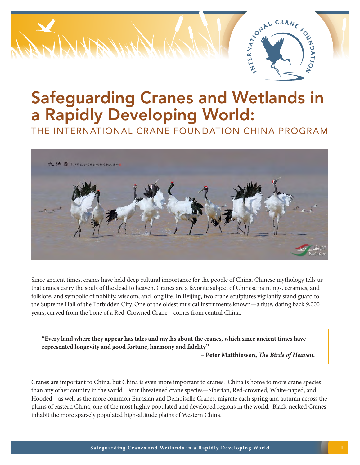

# Safeguarding Cranes and Wetlands in a Rapidly Developing World:

THE INTERNATIONAL CRANE FOUNDATION CHINA PROGRAM



Since ancient times, cranes have held deep cultural importance for the people of China. Chinese mythology tells us that cranes carry the souls of the dead to heaven. Cranes are a favorite subject of Chinese paintings, ceramics, and folklore, and symbolic of nobility, wisdom, and long life. In Beijing, two crane sculptures vigilantly stand guard to the Supreme Hall of the Forbidden City. One of the oldest musical instruments known—a flute, dating back 9,000 years, carved from the bone of a Red-Crowned Crane—comes from central China.

**"Every land where they appear has tales and myths about the cranes, which since ancient times have represented longevity and good fortune, harmony and fidelity"** 

– **Peter Matthiessen,** *The Birds of Heaven.*

Cranes are important to China, but China is even more important to cranes. China is home to more crane species than any other country in the world. Four threatened crane species—Siberian, Red-crowned, White-naped, and Hooded—as well as the more common Eurasian and Demoiselle Cranes, migrate each spring and autumn across the plains of eastern China, one of the most highly populated and developed regions in the world. Black-necked Cranes inhabit the more sparsely populated high-altitude plains of Western China.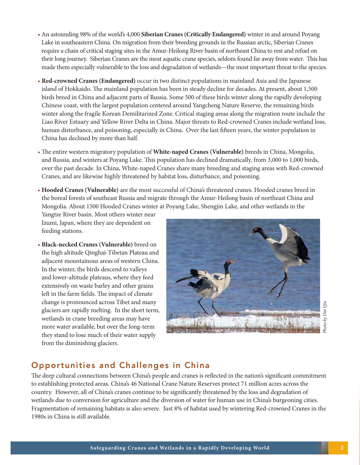- An astounding 98% of the world's 4,000 **Siberian Cranes (Critically Endangered)** winter in and around Poyang Lake in southeastern China. On migration from their breeding grounds in the Russian arctic, Siberian Cranes require a chain of critical staging sites in the Amur-Heilong River basin of northeast China to rest and refuel on their long journey. Siberian Cranes are the most aquatic crane species, seldom found far away from water. This has made them especially vulnerable to the loss and degradation of wetlands—the most important threat to the species.
- **Red-crowned Cranes (Endangered)** occur in two distinct populations in mainland Asia and the Japanese island of Hokkaido. The mainland population has been in steady decline for decades. At present, about 1,500 birds breed in China and adjacent parts of Russia. Some 500 of these birds winter along the rapidly developing Chinese coast, with the largest population centered around Yangcheng Nature Reserve, the remaining birds winter along the fragile Korean Demilitarized Zone. Critical staging areas along the migration route include the Liao River Estuary and Yellow River Delta in China. Major threats to Red-crowned Cranes include wetland loss, human disturbance, and poisoning, especially in China. Over the last fifteen years, the winter population in China has declined by more than half.
- The entire western migratory population of **White-naped Cranes (Vulnerable)** breeds in China, Mongolia, and Russia, and winters at Poyang Lake. This population has declined dramatically, from 3,000 to 1,000 birds, over the past decade. In China, White-naped Cranes share many breeding and staging areas with Red-crowned Cranes, and are likewise highly threatened by habitat loss, disturbance, and poisoning.
- **Hooded Cranes (Vulnerable)** are the most successful of China's threatened cranes. Hooded cranes breed in the boreal forests of southeast Russia and migrate through the Amur-Heilong basin of northeast China and Mongolia. About 1500 Hooded Cranes winter at Poyang Lake, Shengjin Lake, and other wetlands in the

Yangtze River basin. Most others winter near Izumi, Japan, where they are dependent on feeding stations.

• **Black-necked Cranes (Vulnerable)** breed on the high altitude Qinghai-Tibetan Plateau and adjacent mountainous areas of western China. In the winter, the birds descend to valleys and lower-altitude plateaus, where they feed extensively on waste barley and other grains left in the farm fields. The impact of climate change is pronounced across Tibet and many glaciers are rapidly melting. In the short term, wetlands in crane breeding areas may have more water available, but over the long-term they stand to lose much of their water supply from the diminishing glaciers.



#### Opportunities and Challenges in China

The deep cultural connections between China's people and cranes is reflected in the nation's significant commitment to establishing protected areas. China's 46 National Crane Nature Reserves protect 71 million acres across the country. However, all of China's cranes continue to be significantly threatened by the loss and degradation of wetlands due to conversion for agriculture and the diversion of water for human use in China's burgeoning cities. Fragmentation of remaining habitats is also severe. Just 8% of habitat used by wintering Red-crowned Cranes in the 1980s in China is still available.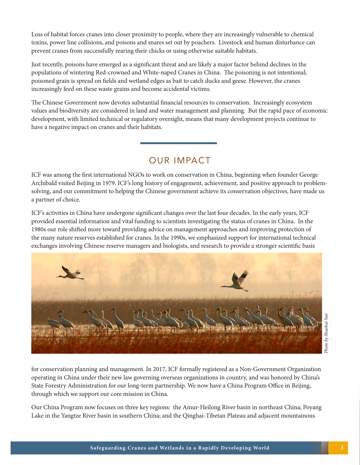Loss of habitat forces cranes into closer proximity to people, where they are increasingly vulnerable to chemical toxins, power line collisions, and poisons and snares set out by poachers. Livestock and human disturbance can prevent cranes from successfully rearing their chicks or using otherwise suitable habitats.

Just recently, poisons have emerged as a significant threat and are likely a major factor behind declines in the populations of wintering Red-crowned and White-naped Cranes in China. The poisoning is not intentional; poisoned grain is spread on fields and wetland edges as bait to catch ducks and geese. However, the cranes increasingly feed on these waste grains and become accidental victims.

The Chinese Government now devotes substantial financial resources to conservation. Increasingly ecosystem values and biodiversity are considered in land and water management and planning. But the rapid pace of economic development, with limited technical or regulatory oversight, means that many development projects continue to have a negative impact on cranes and their habitats.

## OUR IMPACT

ICF was among the first international NGOs to work on conservation in China, beginning when founder George Archibald visited Beijing in 1979. ICF's long history of engagement, achievement, and positive approach to problemsolving, and our commitment to helping the Chinese government achieve its conservation objectives, have made us a partner of choice.

ICF's activities in China have undergone significant changes over the last four decades. In the early years, ICF provided essential information and vital funding to scientists investigating the status of cranes in China. In the 1980s our role shifted more toward providing advice on management approaches and improving protection of the many nature reserves established for cranes. In the 1990s, we emphasized support for international technical exchanges involving Chinese reserve managers and biologists, and research to provide a stronger scientific basis



for conservation planning and management. In 2017, ICF formally registered as a Non-Government Organization operating in China under their new law governing overseas organizations in country, and was honored by China's State Forestry Administration for our long-term partnership. We now have a China Program Office in Beijing, through which we support our core mission in China.

Our China Program now focuses on three key regions: the Amur-Heilong River basin in northeast China; Poyang Lake in the Yangtze River basin in southern China; and the Qinghai-Tibetan Plateau and adjacent mountainous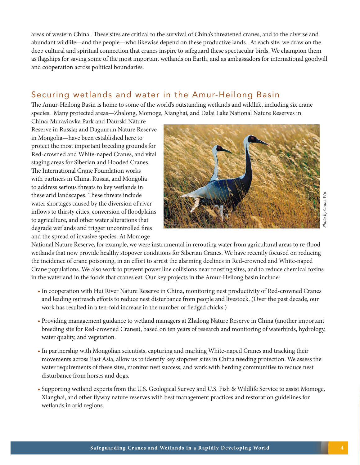areas of western China. These sites are critical to the survival of China's threatened cranes, and to the diverse and abundant wildlife—and the people—who likewise depend on these productive lands. At each site, we draw on the deep cultural and spiritual connection that cranes inspire to safeguard these spectacular birds. We champion them as flagships for saving some of the most important wetlands on Earth, and as ambassadors for international goodwill and cooperation across political boundaries.

#### Securing wetlands and water in the Amur-Heilong Basin

The Amur-Heilong Basin is home to some of the world's outstanding wetlands and wildlife, including six crane species. Many protected areas—Zhalong, Momoge, Xianghai, and Dalai Lake National Nature Reserves in

China; Muraviovka Park and Daurski Nature Reserve in Russia; and Daguurun Nature Reserve in Mongolia—have been established here to protect the most important breeding grounds for Red-crowned and White-naped Cranes, and vital staging areas for Siberian and Hooded Cranes. The International Crane Foundation works with partners in China, Russia, and Mongolia to address serious threats to key wetlands in these arid landscapes. These threats include water shortages caused by the diversion of river inflows to thirsty cities, conversion of floodplains to agriculture, and other water alterations that degrade wetlands and trigger uncontrolled fires and the spread of invasive species. At Momoge



Photo by Crane Wu *Photo by Crane Wu*

National Nature Reserve, for example, we were instrumental in rerouting water from agricultural areas to re-flood wetlands that now provide healthy stopover conditions for Siberian Cranes. We have recently focused on reducing the incidence of crane poisoning, in an effort to arrest the alarming declines in Red-crowned and White-naped Crane populations. We also work to prevent power line collisions near roosting sites, and to reduce chemical toxins in the water and in the foods that cranes eat. Our key projects in the Amur-Heilong basin include:

- In cooperation with Hui River Nature Reserve in China, monitoring nest productivity of Red-crowned Cranes and leading outreach efforts to reduce nest disturbance from people and livestock. (Over the past decade, our work has resulted in a ten-fold increase in the number of fledged chicks.)
- Providing management guidance to wetland managers at Zhalong Nature Reserve in China (another important breeding site for Red-crowned Cranes), based on ten years of research and monitoring of waterbirds, hydrology, water quality, and vegetation.
- In partnership with Mongolian scientists, capturing and marking White-naped Cranes and tracking their movements across East Asia, allow us to identify key stopover sites in China needing protection. We assess the water requirements of these sites, monitor nest success, and work with herding communities to reduce nest disturbance from horses and dogs.
- Supporting wetland experts from the U.S. Geological Survey and U.S. Fish & Wildlife Service to assist Momoge, Xianghai, and other flyway nature reserves with best management practices and restoration guidelines for wetlands in arid regions.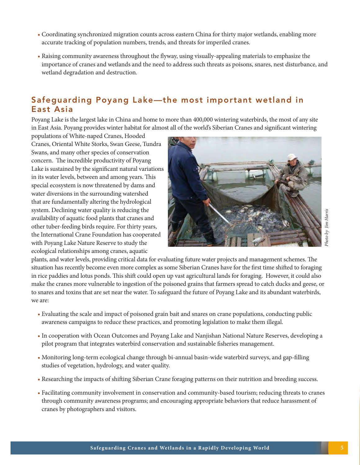Safeguarding Poyang Lake—the most important wetland in East Asia

• Coordinating synchronized migration counts across eastern China for thirty major wetlands, enabling more

• Raising community awareness throughout the flyway, using visually-appealing materials to emphasize the

importance of cranes and wetlands and the need to address such threats as poisons, snares, nest disturbance, and

accurate tracking of population numbers, trends, and threats for imperiled cranes.

Poyang Lake is the largest lake in China and home to more than 400,000 wintering waterbirds, the most of any site in East Asia. Poyang provides winter habitat for almost all of the world's Siberian Cranes and significant wintering

populations of White-naped Cranes, Hooded Cranes, Oriental White Storks, Swan Geese, Tundra Swans, and many other species of conservation concern. The incredible productivity of Poyang Lake is sustained by the significant natural variations in its water levels, between and among years. This special ecosystem is now threatened by dams and water diversions in the surrounding watershed that are fundamentally altering the hydrological system. Declining water quality is reducing the availability of aquatic food plants that cranes and other tuber-feeding birds require. For thirty years, the International Crane Foundation has cooperated with Poyang Lake Nature Reserve to study the ecological relationships among cranes, aquatic

wetland degradation and destruction.



plants, and water levels, providing critical data for evaluating future water projects and management schemes. The situation has recently become even more complex as some Siberian Cranes have for the first time shifted to foraging in rice paddies and lotus ponds. This shift could open up vast agricultural lands for foraging. However, it could also make the cranes more vulnerable to ingestion of the poisoned grains that farmers spread to catch ducks and geese, or to snares and toxins that are set near the water. To safeguard the future of Poyang Lake and its abundant waterbirds, we are:

- Evaluating the scale and impact of poisoned grain bait and snares on crane populations, conducting public awareness campaigns to reduce these practices, and promoting legislation to make them illegal.
- In cooperation with Ocean Outcomes and Poyang Lake and Nanjishan National Nature Reserves, developing a pilot program that integrates waterbird conservation and sustainable fisheries management.
- Monitoring long-term ecological change through bi-annual basin-wide waterbird surveys, and gap-filling studies of vegetation, hydrology, and water quality.
- Researching the impacts of shifting Siberian Crane foraging patterns on their nutrition and breeding success.
- Facilitating community involvement in conservation and community-based tourism; reducing threats to cranes through community awareness programs; and encouraging appropriate behaviors that reduce harassment of cranes by photographers and visitors.